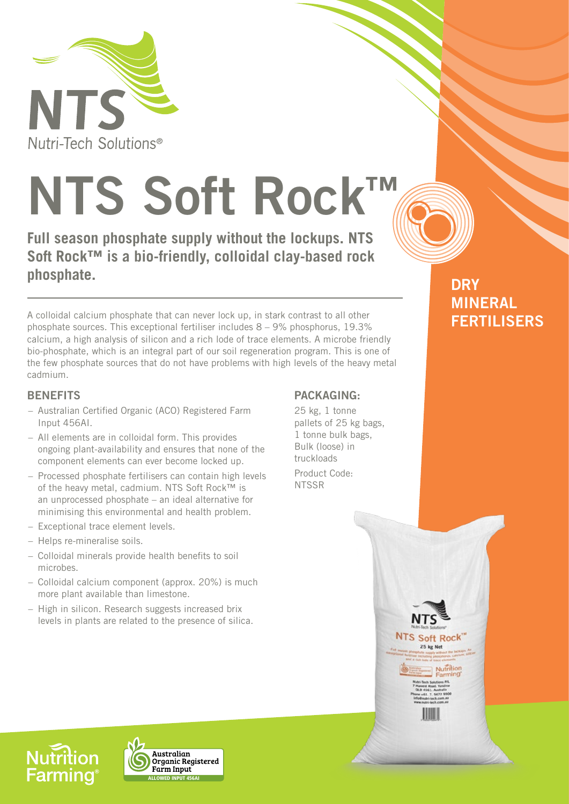

# **NTS Soft Rock™**

**Full season phosphate supply without the lockups. NTS Soft Rock™ is a bio-friendly, colloidal clay-based rock phosphate.**

A colloidal calcium phosphate that can never lock up, in stark contrast to all other phosphate sources. This exceptional fertiliser includes  $8 - 9\%$  phosphorus, 19.3% calcium, a high analysis of silicon and a rich lode of trace elements. A microbe friendly bio-phosphate, which is an integral part of our soil regeneration program. This is one of the few phosphate sources that do not have problems with high levels of the heavy metal cadmium.

#### **BENEFITS**

- Australian Certified Organic (ACO) Registered Farm Input 456AI.
- All elements are in colloidal form. This provides ongoing plant-availability and ensures that none of the component elements can ever become locked up.
- Processed phosphate fertilisers can contain high levels of the heavy metal, cadmium. NTS Soft Rock™ is an unprocessed phosphate – an ideal alternative for minimising this environmental and health problem.
- Exceptional trace element levels.
- Helps re-mineralise soils.
- Colloidal minerals provide health benefits to soil microbes.
- Colloidal calcium component (approx. 20%) is much more plant available than limestone.
- High in silicon. Research suggests increased brix levels in plants are related to the presence of silica.

#### **PACKAGING:**

25 kg, 1 tonne pallets of 25 kg bags, 1 tonne bulk bags, Bulk (loose) in truckloads

> NTS Soft Rock 25 kg Net

> > **Nutrition**

Product Code: **NTSSR** 

### **DRY MINERAL FERTILISERS**